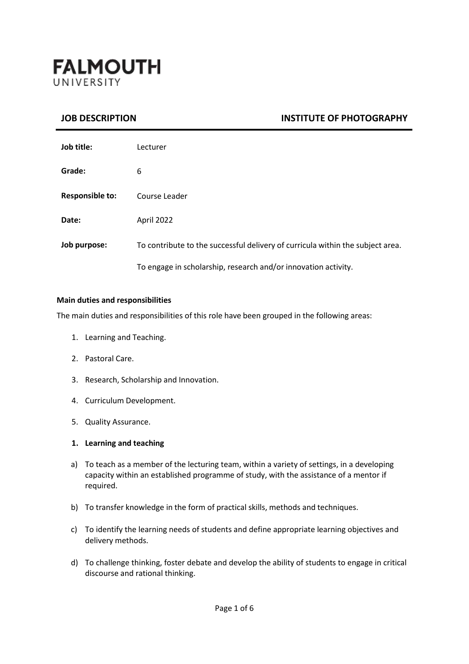

# **JOB DESCRIPTION INSTITUTE OF PHOTOGRAPHY**

| Job title:             | Lecturer                                                                       |
|------------------------|--------------------------------------------------------------------------------|
| Grade:                 | 6                                                                              |
| <b>Responsible to:</b> | Course Leader                                                                  |
| Date:                  | April 2022                                                                     |
| Job purpose:           | To contribute to the successful delivery of curricula within the subject area. |
|                        | To engage in scholarship, research and/or innovation activity.                 |

#### **Main duties and responsibilities**

The main duties and responsibilities of this role have been grouped in the following areas:

- 1. Learning and Teaching.
- 2. Pastoral Care.
- 3. Research, Scholarship and Innovation.
- 4. Curriculum Development.
- 5. Quality Assurance.

#### **1. Learning and teaching**

- a) To teach as a member of the lecturing team, within a variety of settings, in a developing capacity within an established programme of study, with the assistance of a mentor if required.
- b) To transfer knowledge in the form of practical skills, methods and techniques.
- c) To identify the learning needs of students and define appropriate learning objectives and delivery methods.
- d) To challenge thinking, foster debate and develop the ability of students to engage in critical discourse and rational thinking.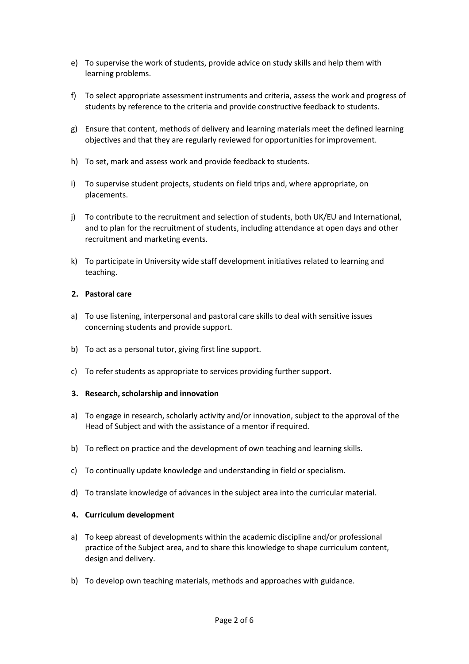- e) To supervise the work of students, provide advice on study skills and help them with learning problems.
- f) To select appropriate assessment instruments and criteria, assess the work and progress of students by reference to the criteria and provide constructive feedback to students.
- g) Ensure that content, methods of delivery and learning materials meet the defined learning objectives and that they are regularly reviewed for opportunities for improvement.
- h) To set, mark and assess work and provide feedback to students.
- i) To supervise student projects, students on field trips and, where appropriate, on placements.
- j) To contribute to the recruitment and selection of students, both UK/EU and International, and to plan for the recruitment of students, including attendance at open days and other recruitment and marketing events.
- k) To participate in University wide staff development initiatives related to learning and teaching.

#### **2. Pastoral care**

- a) To use listening, interpersonal and pastoral care skills to deal with sensitive issues concerning students and provide support.
- b) To act as a personal tutor, giving first line support.
- c) To refer students as appropriate to services providing further support.

## **3. Research,scholarship and innovation**

- a) To engage in research, scholarly activity and/or innovation, subject to the approval of the Head of Subject and with the assistance of a mentor if required.
- b) To reflect on practice and the development of own teaching and learning skills.
- c) To continually update knowledge and understanding in field or specialism.
- d) To translate knowledge of advances in the subject area into the curricular material.

## **4. Curriculum development**

- a) To keep abreast of developments within the academic discipline and/or professional practice of the Subject area, and to share this knowledge to shape curriculum content, design and delivery.
- b) To develop own teaching materials, methods and approaches with guidance.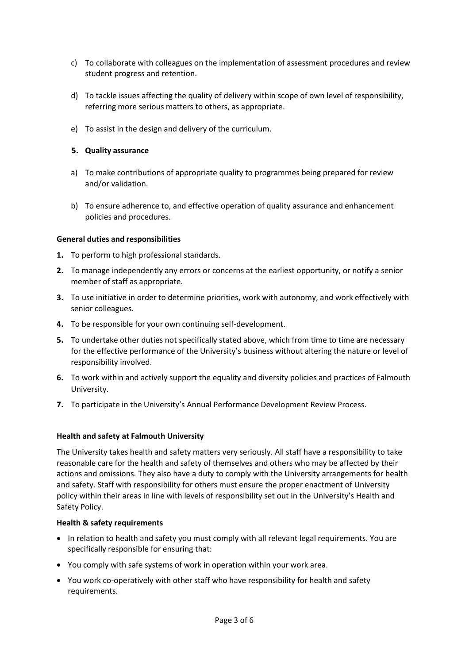- c) To collaborate with colleagues on the implementation of assessment procedures and review student progress and retention.
- d) To tackle issues affecting the quality of delivery within scope of own level of responsibility, referring more serious matters to others, as appropriate.
- e) To assist in the design and delivery of the curriculum.

## **5. Quality assurance**

- a) To make contributions of appropriate quality to programmes being prepared for review and/or validation.
- b) To ensure adherence to, and effective operation of quality assurance and enhancement policies and procedures.

## **General duties and responsibilities**

- **1.** To perform to high professional standards.
- **2.** To manage independently any errors or concerns at the earliest opportunity, or notify a senior member of staff as appropriate.
- **3.** To use initiative in order to determine priorities, work with autonomy, and work effectively with senior colleagues.
- **4.** To be responsible for your own continuing self-development.
- **5.** To undertake other duties not specifically stated above, which from time to time are necessary for the effective performance of the University's business without altering the nature or level of responsibility involved.
- **6.** To work within and actively support the equality and diversity policies and practices of Falmouth University.
- **7.** To participate in the University's Annual Performance Development Review Process.

# **Health and safety at Falmouth University**

The University takes health and safety matters very seriously. All staff have a responsibility to take reasonable care for the health and safety of themselves and others who may be affected by their actions and omissions. They also have a duty to comply with the University arrangements for health and safety. Staff with responsibility for others must ensure the proper enactment of University policy within their areas in line with levels of responsibility set out in the University's Health and Safety Policy.

## **Health & safety requirements**

- In relation to health and safety you must comply with all relevant legal requirements. You are specifically responsible for ensuring that:
- You comply with safe systems of work in operation within your work area.
- You work co-operatively with other staff who have responsibility for health and safety requirements.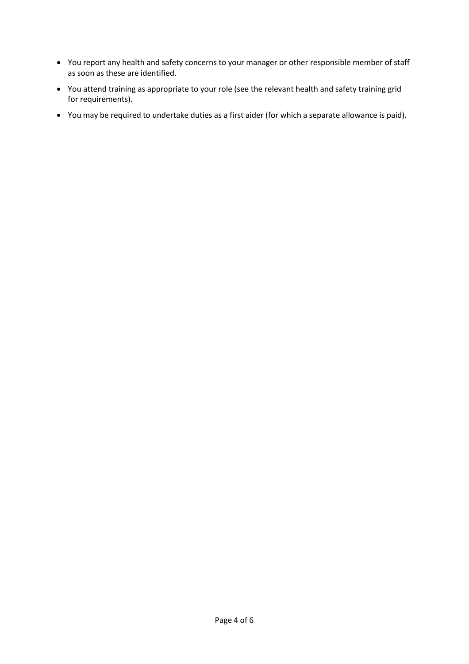- You report any health and safety concerns to your manager or other responsible member of staff as soon as these are identified.
- You attend training as appropriate to your role (see the relevant health and safety training grid for requirements).
- You may be required to undertake duties as a first aider (for which a separate allowance is paid).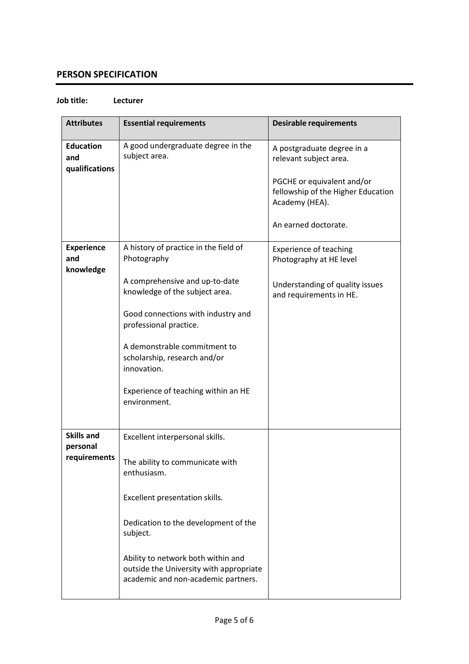# **PERSON SPECIFICATION**

#### **Job title: Lecturer**

| <b>Attributes</b>                             | <b>Essential requirements</b>                                                                                                                                                                                                                                                                                                  | <b>Desirable requirements</b>                                                                                                                                      |
|-----------------------------------------------|--------------------------------------------------------------------------------------------------------------------------------------------------------------------------------------------------------------------------------------------------------------------------------------------------------------------------------|--------------------------------------------------------------------------------------------------------------------------------------------------------------------|
| <b>Education</b><br>and<br>qualifications     | A good undergraduate degree in the<br>subject area.                                                                                                                                                                                                                                                                            | A postgraduate degree in a<br>relevant subject area.<br>PGCHE or equivalent and/or<br>fellowship of the Higher Education<br>Academy (HEA).<br>An earned doctorate. |
| <b>Experience</b><br>and<br>knowledge         | A history of practice in the field of<br>Photography<br>A comprehensive and up-to-date<br>knowledge of the subject area.<br>Good connections with industry and<br>professional practice.<br>A demonstrable commitment to<br>scholarship, research and/or<br>innovation.<br>Experience of teaching within an HE<br>environment. | <b>Experience of teaching</b><br>Photography at HE level<br>Understanding of quality issues<br>and requirements in HE.                                             |
| <b>Skills and</b><br>personal<br>requirements | Excellent interpersonal skills.<br>The ability to communicate with<br>enthusiasm.<br>Excellent presentation skills.<br>Dedication to the development of the<br>subject.<br>Ability to network both within and<br>outside the University with appropriate<br>academic and non-academic partners.                                |                                                                                                                                                                    |